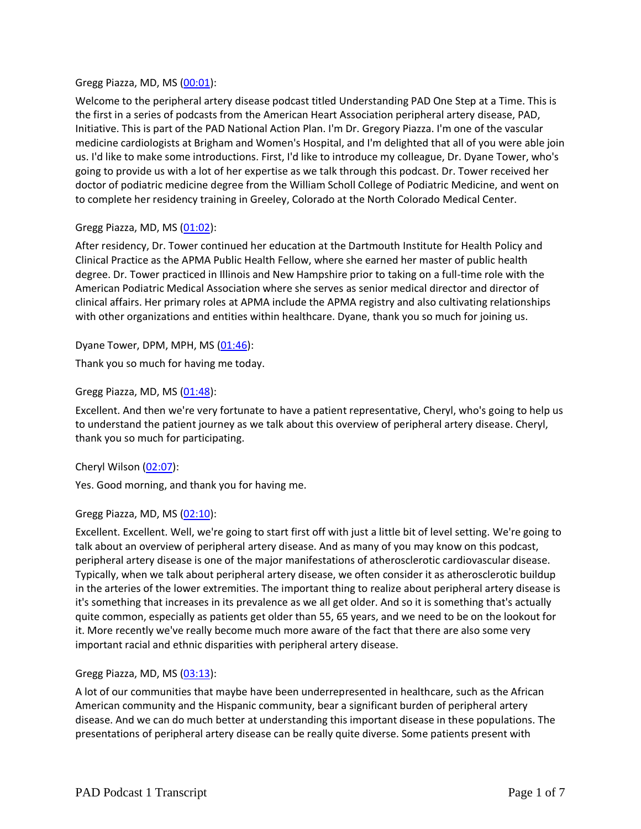### Gregg Piazza, MD, MS [\(00:01\)](https://www.rev.com/transcript-editor/Edit?token=LSAuXGBYIM1G48WYqT9Xwke8bo2k1M6OZaogWM27UftCQ6xhFm91ouHCV8vKMi7rt3W0Yr2R3YAHjUlmMP7Si_4gRzY&loadFrom=DocumentDeeplink&ts=1.83):

Welcome to the peripheral artery disease podcast titled Understanding PAD One Step at a Time. This is the first in a series of podcasts from the American Heart Association peripheral artery disease, PAD, Initiative. This is part of the PAD National Action Plan. I'm Dr. Gregory Piazza. I'm one of the vascular medicine cardiologists at Brigham and Women's Hospital, and I'm delighted that all of you were able join us. I'd like to make some introductions. First, I'd like to introduce my colleague, Dr. Dyane Tower, who's going to provide us with a lot of her expertise as we talk through this podcast. Dr. Tower received her doctor of podiatric medicine degree from the William Scholl College of Podiatric Medicine, and went on to complete her residency training in Greeley, Colorado at the North Colorado Medical Center.

## Gregg Piazza, MD, MS [\(01:02\)](https://www.rev.com/transcript-editor/Edit?token=mOjOTMfm7IS4aix_9qZBhhbXYREV_I9jgqSAUx_tFeB8qi_ijT6loy01MP5hS-GdA3fFaeZrvo9ftRf6G_qgqjtdsAY&loadFrom=DocumentDeeplink&ts=62.07):

After residency, Dr. Tower continued her education at the Dartmouth Institute for Health Policy and Clinical Practice as the APMA Public Health Fellow, where she earned her master of public health degree. Dr. Tower practiced in Illinois and New Hampshire prior to taking on a full-time role with the American Podiatric Medical Association where she serves as senior medical director and director of clinical affairs. Her primary roles at APMA include the APMA registry and also cultivating relationships with other organizations and entities within healthcare. Dyane, thank you so much for joining us.

Dyane Tower, DPM, MPH, MS  $(01:46)$ :

Thank you so much for having me today.

## Gregg Piazza, MD, MS  $(01:48)$ :

Excellent. And then we're very fortunate to have a patient representative, Cheryl, who's going to help us to understand the patient journey as we talk about this overview of peripheral artery disease. Cheryl, thank you so much for participating.

#### Cheryl Wilson [\(02:07\)](https://www.rev.com/transcript-editor/Edit?token=pn-3IqaTmzobgYgCNRDEm_JijvTj7tTZ0sp8TyDHXEoUFbMkhKYbp99_RHq1nDT3P5y23YMqnwwrMDJ8LV1_iJXNePc&loadFrom=DocumentDeeplink&ts=127.31):

Yes. Good morning, and thank you for having me.

#### Gregg Piazza, MD, MS [\(02:10\)](https://www.rev.com/transcript-editor/Edit?token=m60P9ZFm_kQBCzEos0Dcr47PzYbtgPJnWjSaPzXAf9TS1jqD97IzBzVPO0ZsOiMtINUBuEtXAAUJ1tGfTT5J83ecJDo&loadFrom=DocumentDeeplink&ts=130.8):

Excellent. Excellent. Well, we're going to start first off with just a little bit of level setting. We're going to talk about an overview of peripheral artery disease. And as many of you may know on this podcast, peripheral artery disease is one of the major manifestations of atherosclerotic cardiovascular disease. Typically, when we talk about peripheral artery disease, we often consider it as atherosclerotic buildup in the arteries of the lower extremities. The important thing to realize about peripheral artery disease is it's something that increases in its prevalence as we all get older. And so it is something that's actually quite common, especially as patients get older than 55, 65 years, and we need to be on the lookout for it. More recently we've really become much more aware of the fact that there are also some very important racial and ethnic disparities with peripheral artery disease.

#### Gregg Piazza, MD, MS  $(03:13)$ :

A lot of our communities that maybe have been underrepresented in healthcare, such as the African American community and the Hispanic community, bear a significant burden of peripheral artery disease. And we can do much better at understanding this important disease in these populations. The presentations of peripheral artery disease can be really quite diverse. Some patients present with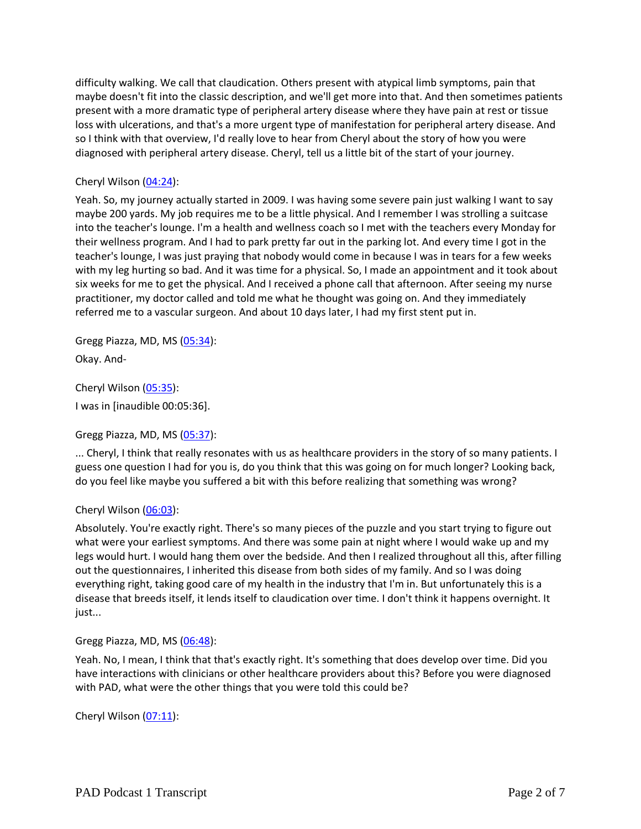difficulty walking. We call that claudication. Others present with atypical limb symptoms, pain that maybe doesn't fit into the classic description, and we'll get more into that. And then sometimes patients present with a more dramatic type of peripheral artery disease where they have pain at rest or tissue loss with ulcerations, and that's a more urgent type of manifestation for peripheral artery disease. And so I think with that overview, I'd really love to hear from Cheryl about the story of how you were diagnosed with peripheral artery disease. Cheryl, tell us a little bit of the start of your journey.

## Cheryl Wilson  $(04:24)$ :

Yeah. So, my journey actually started in 2009. I was having some severe pain just walking I want to say maybe 200 yards. My job requires me to be a little physical. And I remember I was strolling a suitcase into the teacher's lounge. I'm a health and wellness coach so I met with the teachers every Monday for their wellness program. And I had to park pretty far out in the parking lot. And every time I got in the teacher's lounge, I was just praying that nobody would come in because I was in tears for a few weeks with my leg hurting so bad. And it was time for a physical. So, I made an appointment and it took about six weeks for me to get the physical. And I received a phone call that afternoon. After seeing my nurse practitioner, my doctor called and told me what he thought was going on. And they immediately referred me to a vascular surgeon. And about 10 days later, I had my first stent put in.

Gregg Piazza, MD, MS [\(05:34\)](https://www.rev.com/transcript-editor/Edit?token=nGQNTW_2WO7IW5ntSy_IQqUhx_0Of6MjYBhRUhC75Ff9QpAi4Hwen4XbjOePzDbVhm90K7ZUOt1E0V5Yxo9oROwR6nA&loadFrom=DocumentDeeplink&ts=334.32): Okay. And-

Cheryl Wilson [\(05:35\)](https://www.rev.com/transcript-editor/Edit?token=3R5CwQCVkK-XGTLyem_orvtf_qMfR_p10WBPVw51RsxCeC6W532vToNlJGYKA6opRUIHxikYQNOwOKpQNl8zojApheM&loadFrom=DocumentDeeplink&ts=335.7): I was in [inaudible 00:05:36].

Gregg Piazza, MD, MS [\(05:37\)](https://www.rev.com/transcript-editor/Edit?token=7OCUMssjAJjiYgliMC0kBFsILSxNhb1GGNwaOfMr9jSLIRmHxmt04xouyipUYxqZHtkzc8n09iHBQVDiyi0AtJV5WFA&loadFrom=DocumentDeeplink&ts=337.53):

... Cheryl, I think that really resonates with us as healthcare providers in the story of so many patients. I guess one question I had for you is, do you think that this was going on for much longer? Looking back, do you feel like maybe you suffered a bit with this before realizing that something was wrong?

#### Cheryl Wilson [\(06:03\)](https://www.rev.com/transcript-editor/Edit?token=U-n4W-I_ygiva9Cw_vbidHyDtDldHcfof6j_COyTUI7xgw9k56SiQPPN_K-irnQNsk4isZuhqX00Xe2TtL_fAbb9aAk&loadFrom=DocumentDeeplink&ts=363.04):

Absolutely. You're exactly right. There's so many pieces of the puzzle and you start trying to figure out what were your earliest symptoms. And there was some pain at night where I would wake up and my legs would hurt. I would hang them over the bedside. And then I realized throughout all this, after filling out the questionnaires, I inherited this disease from both sides of my family. And so I was doing everything right, taking good care of my health in the industry that I'm in. But unfortunately this is a disease that breeds itself, it lends itself to claudication over time. I don't think it happens overnight. It just...

Gregg Piazza, MD, MS [\(06:48\)](https://www.rev.com/transcript-editor/Edit?token=aB5GsfvzutW9ZJKkTi51ZxaJYaaghpv9VNbMzH3M8_tnXnihN_w8GddAKHW5NNA6JFRFPqgNyYRcIWF0XvaxxUTVmKg&loadFrom=DocumentDeeplink&ts=408.05):

Yeah. No, I mean, I think that that's exactly right. It's something that does develop over time. Did you have interactions with clinicians or other healthcare providers about this? Before you were diagnosed with PAD, what were the other things that you were told this could be?

Cheryl Wilson [\(07:11\)](https://www.rev.com/transcript-editor/Edit?token=TBLt_WyIuEnMZI0CTQxDZDnMWNkUfEaufN76OAjqFF5H3bmV3ok5y90VDK4j0nGY_CjkGnTauSqjCJUpM4IV1JH8aew&loadFrom=DocumentDeeplink&ts=431.7):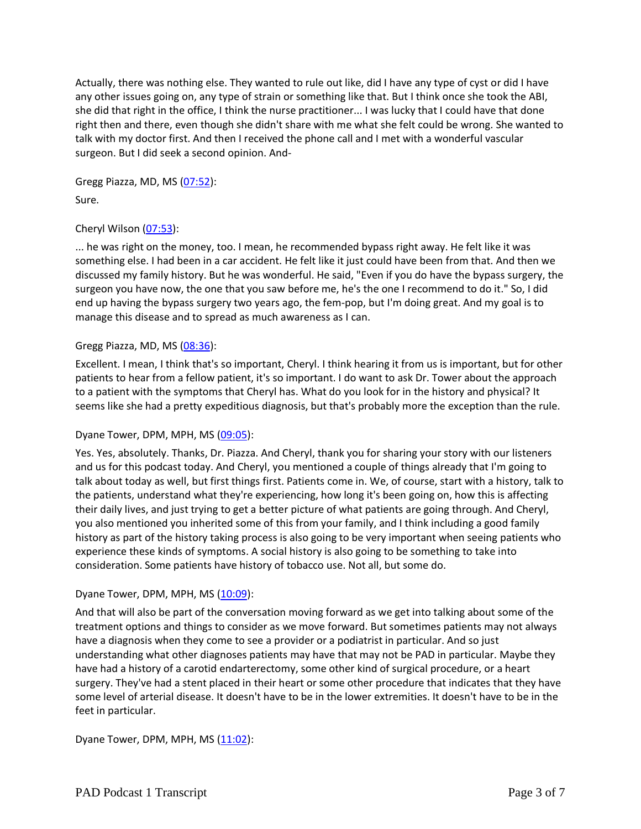Actually, there was nothing else. They wanted to rule out like, did I have any type of cyst or did I have any other issues going on, any type of strain or something like that. But I think once she took the ABI, she did that right in the office, I think the nurse practitioner... I was lucky that I could have that done right then and there, even though she didn't share with me what she felt could be wrong. She wanted to talk with my doctor first. And then I received the phone call and I met with a wonderful vascular surgeon. But I did seek a second opinion. And-

Gregg Piazza, MD, MS [\(07:52\)](https://www.rev.com/transcript-editor/Edit?token=yQknFthq01U1tgrj-Rqg3unt86uvbvcN3nE4xQZpmuxvvR6BWwoP6AYREKnS45IRS-jGw7dUcGGzHW77zQfUlv3Ycpo&loadFrom=DocumentDeeplink&ts=472.67): Sure.

## Cheryl Wilson [\(07:53\)](https://www.rev.com/transcript-editor/Edit?token=qfjqjjVJVeLj0oTVobE9ninKoRMAcygoEpm0ErqB4HugNJO9aixPLIB3PWh1BO2UF5apukGTUIXGLniY5HaUZ1PkDMg&loadFrom=DocumentDeeplink&ts=473.04):

... he was right on the money, too. I mean, he recommended bypass right away. He felt like it was something else. I had been in a car accident. He felt like it just could have been from that. And then we discussed my family history. But he was wonderful. He said, "Even if you do have the bypass surgery, the surgeon you have now, the one that you saw before me, he's the one I recommend to do it." So, I did end up having the bypass surgery two years ago, the fem-pop, but I'm doing great. And my goal is to manage this disease and to spread as much awareness as I can.

## Gregg Piazza, MD, MS [\(08:36\)](https://www.rev.com/transcript-editor/Edit?token=mNgjdNYaCAD-LF-4LjP2hvUYOEKZQZAK9BWw3HDYaL1ykqYolbx7aRJ5DCNy7uk4ECoZmsBEz83eiH6V0T9m2d3w_MY&loadFrom=DocumentDeeplink&ts=516.07):

Excellent. I mean, I think that's so important, Cheryl. I think hearing it from us is important, but for other patients to hear from a fellow patient, it's so important. I do want to ask Dr. Tower about the approach to a patient with the symptoms that Cheryl has. What do you look for in the history and physical? It seems like she had a pretty expeditious diagnosis, but that's probably more the exception than the rule.

#### Dyane Tower, DPM, MPH, MS [\(09:05\)](https://www.rev.com/transcript-editor/Edit?token=Wnrm7sOF8DCRkZ1PlzFZ8DLZ1F3QgJDEWpr8LNlZT40ckSbLJAlWQdewvUr3fsSAmzH85pjemGdWmLym66Wae17R1g0&loadFrom=DocumentDeeplink&ts=545.11):

Yes. Yes, absolutely. Thanks, Dr. Piazza. And Cheryl, thank you for sharing your story with our listeners and us for this podcast today. And Cheryl, you mentioned a couple of things already that I'm going to talk about today as well, but first things first. Patients come in. We, of course, start with a history, talk to the patients, understand what they're experiencing, how long it's been going on, how this is affecting their daily lives, and just trying to get a better picture of what patients are going through. And Cheryl, you also mentioned you inherited some of this from your family, and I think including a good family history as part of the history taking process is also going to be very important when seeing patients who experience these kinds of symptoms. A social history is also going to be something to take into consideration. Some patients have history of tobacco use. Not all, but some do.

#### Dyane Tower, DPM, MPH, MS [\(10:09\)](https://www.rev.com/transcript-editor/Edit?token=m0hl035VsQgrSKqVT3Jqm5SWgUOIWw8Dis8VZzAaYplXyOWjGloPVk0jIJ9VVFNznEdyLH2v-md-r1VKW5mfR9ROI9Q&loadFrom=DocumentDeeplink&ts=609.48):

And that will also be part of the conversation moving forward as we get into talking about some of the treatment options and things to consider as we move forward. But sometimes patients may not always have a diagnosis when they come to see a provider or a podiatrist in particular. And so just understanding what other diagnoses patients may have that may not be PAD in particular. Maybe they have had a history of a carotid endarterectomy, some other kind of surgical procedure, or a heart surgery. They've had a stent placed in their heart or some other procedure that indicates that they have some level of arterial disease. It doesn't have to be in the lower extremities. It doesn't have to be in the feet in particular.

Dyane Tower, DPM, MPH, MS [\(11:02\)](https://www.rev.com/transcript-editor/Edit?token=7QS6qVu02olmVugsIA01k0bTeTG-BvLaass3pyDRmAXFr0hDsjHXG8aL_s7477DcE2Fpxul5SNPrZmeTv0XJuRUvjTI&loadFrom=DocumentDeeplink&ts=662.75):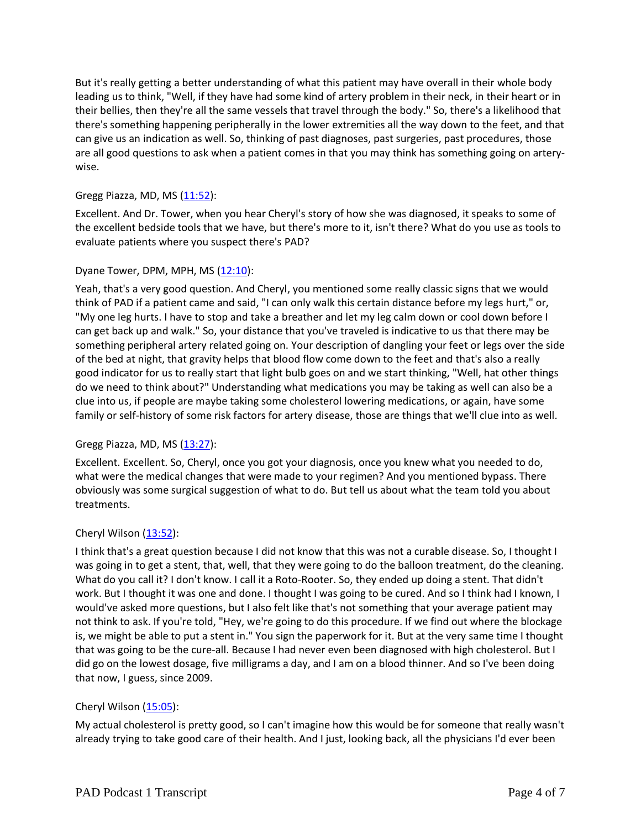But it's really getting a better understanding of what this patient may have overall in their whole body leading us to think, "Well, if they have had some kind of artery problem in their neck, in their heart or in their bellies, then they're all the same vessels that travel through the body." So, there's a likelihood that there's something happening peripherally in the lower extremities all the way down to the feet, and that can give us an indication as well. So, thinking of past diagnoses, past surgeries, past procedures, those are all good questions to ask when a patient comes in that you may think has something going on arterywise.

## Gregg Piazza, MD, MS  $(11:52)$ :

Excellent. And Dr. Tower, when you hear Cheryl's story of how she was diagnosed, it speaks to some of the excellent bedside tools that we have, but there's more to it, isn't there? What do you use as tools to evaluate patients where you suspect there's PAD?

#### Dyane Tower, DPM, MPH, MS  $(12:10)$ :

Yeah, that's a very good question. And Cheryl, you mentioned some really classic signs that we would think of PAD if a patient came and said, "I can only walk this certain distance before my legs hurt," or, "My one leg hurts. I have to stop and take a breather and let my leg calm down or cool down before I can get back up and walk." So, your distance that you've traveled is indicative to us that there may be something peripheral artery related going on. Your description of dangling your feet or legs over the side of the bed at night, that gravity helps that blood flow come down to the feet and that's also a really good indicator for us to really start that light bulb goes on and we start thinking, "Well, hat other things do we need to think about?" Understanding what medications you may be taking as well can also be a clue into us, if people are maybe taking some cholesterol lowering medications, or again, have some family or self-history of some risk factors for artery disease, those are things that we'll clue into as well.

#### Gregg Piazza, MD, MS [\(13:27\)](https://www.rev.com/transcript-editor/Edit?token=qTXYC1f4V16tCpacS3yyuphaJgcPZQEXMQ04tWg6yhZSCIdDcZ5EiQ81TJ3KlSDjvyt3ZJjRnPxwAakfLT854-vdzbs&loadFrom=DocumentDeeplink&ts=807.3):

Excellent. Excellent. So, Cheryl, once you got your diagnosis, once you knew what you needed to do, what were the medical changes that were made to your regimen? And you mentioned bypass. There obviously was some surgical suggestion of what to do. But tell us about what the team told you about treatments.

#### Cheryl Wilson  $(13:52)$ :

I think that's a great question because I did not know that this was not a curable disease. So, I thought I was going in to get a stent, that, well, that they were going to do the balloon treatment, do the cleaning. What do you call it? I don't know. I call it a Roto-Rooter. So, they ended up doing a stent. That didn't work. But I thought it was one and done. I thought I was going to be cured. And so I think had I known, I would've asked more questions, but I also felt like that's not something that your average patient may not think to ask. If you're told, "Hey, we're going to do this procedure. If we find out where the blockage is, we might be able to put a stent in." You sign the paperwork for it. But at the very same time I thought that was going to be the cure-all. Because I had never even been diagnosed with high cholesterol. But I did go on the lowest dosage, five milligrams a day, and I am on a blood thinner. And so I've been doing that now, I guess, since 2009.

#### Cheryl Wilson  $(15:05)$ :

My actual cholesterol is pretty good, so I can't imagine how this would be for someone that really wasn't already trying to take good care of their health. And I just, looking back, all the physicians I'd ever been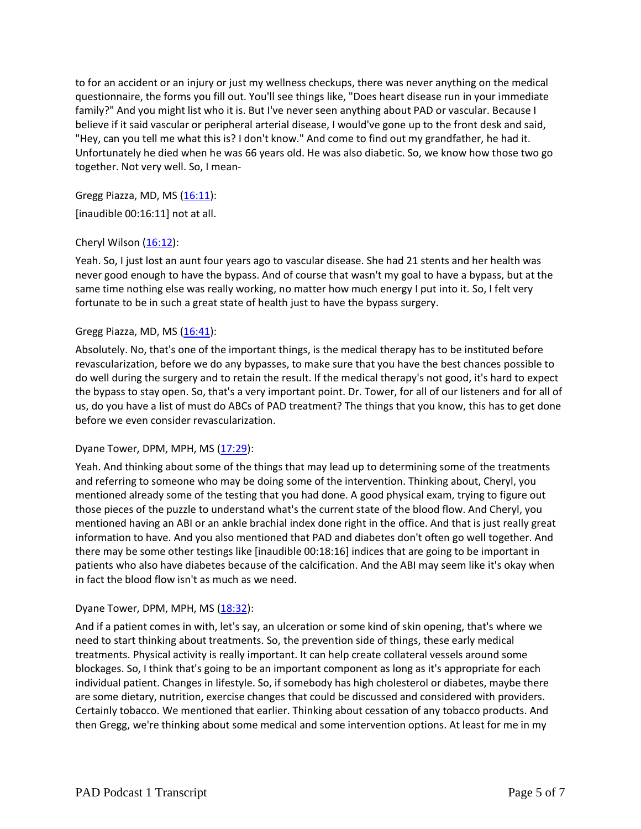to for an accident or an injury or just my wellness checkups, there was never anything on the medical questionnaire, the forms you fill out. You'll see things like, "Does heart disease run in your immediate family?" And you might list who it is. But I've never seen anything about PAD or vascular. Because I believe if it said vascular or peripheral arterial disease, I would've gone up to the front desk and said, "Hey, can you tell me what this is? I don't know." And come to find out my grandfather, he had it. Unfortunately he died when he was 66 years old. He was also diabetic. So, we know how those two go together. Not very well. So, I mean-

Gregg Piazza, MD, MS  $(16:11)$ :

[inaudible 00:16:11] not at all.

# Cheryl Wilson [\(16:12\)](https://www.rev.com/transcript-editor/Edit?token=l8F_b7oh46_q54w20uKgh3-WsqWAoXCceRFtSl9DnmcOOT0T8eXDtR4E4Rvi8Zx9wfreIgaz5qr5TozNL3714u-3jx0&loadFrom=DocumentDeeplink&ts=972.32):

Yeah. So, I just lost an aunt four years ago to vascular disease. She had 21 stents and her health was never good enough to have the bypass. And of course that wasn't my goal to have a bypass, but at the same time nothing else was really working, no matter how much energy I put into it. So, I felt very fortunate to be in such a great state of health just to have the bypass surgery.

# Gregg Piazza, MD, MS  $(16:41)$ :

Absolutely. No, that's one of the important things, is the medical therapy has to be instituted before revascularization, before we do any bypasses, to make sure that you have the best chances possible to do well during the surgery and to retain the result. If the medical therapy's not good, it's hard to expect the bypass to stay open. So, that's a very important point. Dr. Tower, for all of our listeners and for all of us, do you have a list of must do ABCs of PAD treatment? The things that you know, this has to get done before we even consider revascularization.

#### Dyane Tower, DPM, MPH, MS  $(17:29)$ :

Yeah. And thinking about some of the things that may lead up to determining some of the treatments and referring to someone who may be doing some of the intervention. Thinking about, Cheryl, you mentioned already some of the testing that you had done. A good physical exam, trying to figure out those pieces of the puzzle to understand what's the current state of the blood flow. And Cheryl, you mentioned having an ABI or an ankle brachial index done right in the office. And that is just really great information to have. And you also mentioned that PAD and diabetes don't often go well together. And there may be some other testings like [inaudible 00:18:16] indices that are going to be important in patients who also have diabetes because of the calcification. And the ABI may seem like it's okay when in fact the blood flow isn't as much as we need.

#### Dyane Tower, DPM, MPH, MS [\(18:32\)](https://www.rev.com/transcript-editor/Edit?token=XyjyU9b10UEtingP-pKkuqNyKHn8A8kLxtfLV9PtgMrIJRFuSGMx6pHKktVkGOOQfjuCBDpjOndavk-4fyFxzW0V6Zo&loadFrom=DocumentDeeplink&ts=1112.62):

And if a patient comes in with, let's say, an ulceration or some kind of skin opening, that's where we need to start thinking about treatments. So, the prevention side of things, these early medical treatments. Physical activity is really important. It can help create collateral vessels around some blockages. So, I think that's going to be an important component as long as it's appropriate for each individual patient. Changes in lifestyle. So, if somebody has high cholesterol or diabetes, maybe there are some dietary, nutrition, exercise changes that could be discussed and considered with providers. Certainly tobacco. We mentioned that earlier. Thinking about cessation of any tobacco products. And then Gregg, we're thinking about some medical and some intervention options. At least for me in my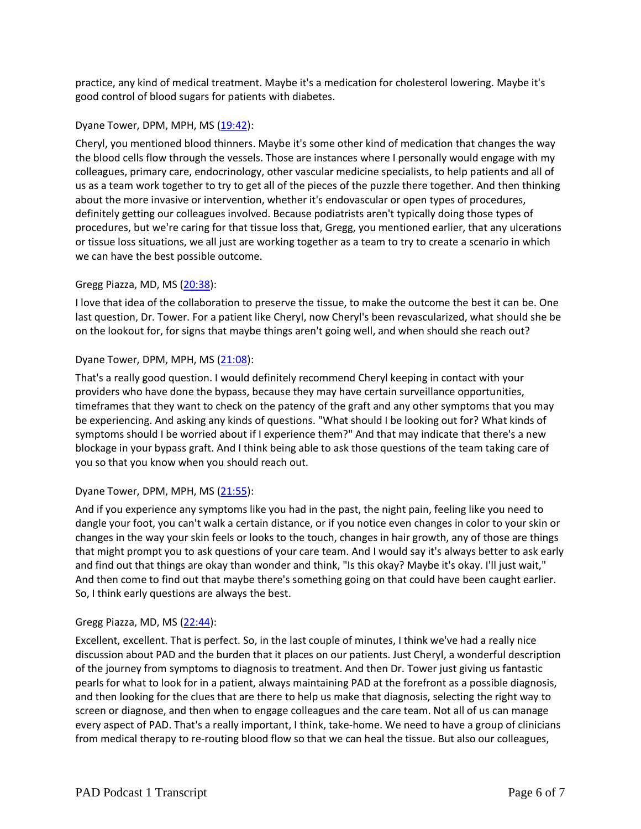practice, any kind of medical treatment. Maybe it's a medication for cholesterol lowering. Maybe it's good control of blood sugars for patients with diabetes.

## Dyane Tower, DPM, MPH, MS [\(19:42\)](https://www.rev.com/transcript-editor/Edit?token=B-sf8FnXrxVH0uxqZsTQRrQURe-s1rpxuAjvNIE7rqHy1t_dK2CCJQJJgsBdmJ_9ocrKf-iwUhviKXyxwl1FYiCIAyc&loadFrom=DocumentDeeplink&ts=1182.27):

Cheryl, you mentioned blood thinners. Maybe it's some other kind of medication that changes the way the blood cells flow through the vessels. Those are instances where I personally would engage with my colleagues, primary care, endocrinology, other vascular medicine specialists, to help patients and all of us as a team work together to try to get all of the pieces of the puzzle there together. And then thinking about the more invasive or intervention, whether it's endovascular or open types of procedures, definitely getting our colleagues involved. Because podiatrists aren't typically doing those types of procedures, but we're caring for that tissue loss that, Gregg, you mentioned earlier, that any ulcerations or tissue loss situations, we all just are working together as a team to try to create a scenario in which we can have the best possible outcome.

## Gregg Piazza, MD, MS [\(20:38\)](https://www.rev.com/transcript-editor/Edit?token=RRqE5rDc_wHHqwvjUXwMELpPBDHsbSxStvHPz0i15YP_sDy4EJW_yiuy4RhIcxWtrx2JXcjP_ikNr__HiODAzXNtTQ8&loadFrom=DocumentDeeplink&ts=1238.98):

I love that idea of the collaboration to preserve the tissue, to make the outcome the best it can be. One last question, Dr. Tower. For a patient like Cheryl, now Cheryl's been revascularized, what should she be on the lookout for, for signs that maybe things aren't going well, and when should she reach out?

## Dyane Tower, DPM, MPH, MS [\(21:08\)](https://www.rev.com/transcript-editor/Edit?token=Xiuw_JNi4kPO7xyTZU9d0AEdiJYpj2f_cu_jJfDU_ETmbGagmMcxN191DYEX9PzAGct4aPsnE41UsXP9VrwQZj6gRKo&loadFrom=DocumentDeeplink&ts=1268):

That's a really good question. I would definitely recommend Cheryl keeping in contact with your providers who have done the bypass, because they may have certain surveillance opportunities, timeframes that they want to check on the patency of the graft and any other symptoms that you may be experiencing. And asking any kinds of questions. "What should I be looking out for? What kinds of symptoms should I be worried about if I experience them?" And that may indicate that there's a new blockage in your bypass graft. And I think being able to ask those questions of the team taking care of you so that you know when you should reach out.

#### Dyane Tower, DPM, MPH, MS [\(21:55\)](https://www.rev.com/transcript-editor/Edit?token=d3zbGWkw4Z7nm03pAvtpxkju-cMaXSpNUh1KHP7PbWICb0S4DdoCvBW2o5VLKhrt4nnkZij5vw-pPx_oDDmv-XC_9fc&loadFrom=DocumentDeeplink&ts=1315.55):

And if you experience any symptoms like you had in the past, the night pain, feeling like you need to dangle your foot, you can't walk a certain distance, or if you notice even changes in color to your skin or changes in the way your skin feels or looks to the touch, changes in hair growth, any of those are things that might prompt you to ask questions of your care team. And I would say it's always better to ask early and find out that things are okay than wonder and think, "Is this okay? Maybe it's okay. I'll just wait," And then come to find out that maybe there's something going on that could have been caught earlier. So, I think early questions are always the best.

#### Gregg Piazza, MD, MS [\(22:44\)](https://www.rev.com/transcript-editor/Edit?token=2rRYaKCZRUCpMY3RuyEVBjtEHdHoNSQPLaoGwHPgdZyM0KFa2K467wptv19-UCh32KHXpboO9VZFjCnoho_8QDwgoBQ&loadFrom=DocumentDeeplink&ts=1364.79):

Excellent, excellent. That is perfect. So, in the last couple of minutes, I think we've had a really nice discussion about PAD and the burden that it places on our patients. Just Cheryl, a wonderful description of the journey from symptoms to diagnosis to treatment. And then Dr. Tower just giving us fantastic pearls for what to look for in a patient, always maintaining PAD at the forefront as a possible diagnosis, and then looking for the clues that are there to help us make that diagnosis, selecting the right way to screen or diagnose, and then when to engage colleagues and the care team. Not all of us can manage every aspect of PAD. That's a really important, I think, take-home. We need to have a group of clinicians from medical therapy to re-routing blood flow so that we can heal the tissue. But also our colleagues,